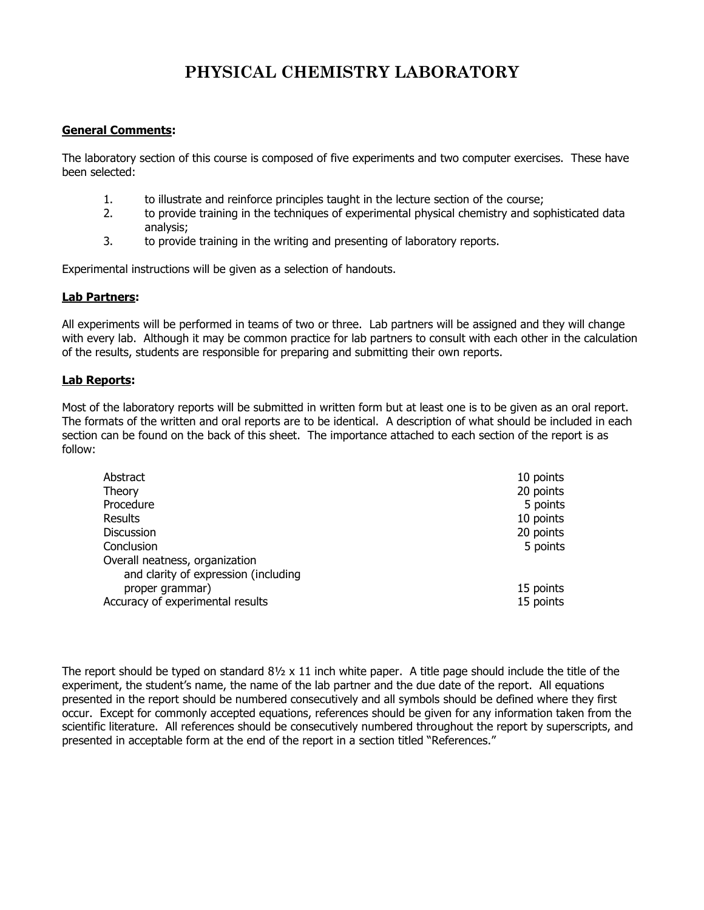## **PHYSICAL CHEMISTRY LABORATORY**

## **General Comments:**

The laboratory section of this course is composed of five experiments and two computer exercises. These have been selected:

- 1. to illustrate and reinforce principles taught in the lecture section of the course;
- 2. to provide training in the techniques of experimental physical chemistry and sophisticated data analysis;
- 3. to provide training in the writing and presenting of laboratory reports.

Experimental instructions will be given as a selection of handouts.

## **Lab Partners:**

All experiments will be performed in teams of two or three. Lab partners will be assigned and they will change with every lab. Although it may be common practice for lab partners to consult with each other in the calculation of the results, students are responsible for preparing and submitting their own reports.

## **Lab Reports:**

Most of the laboratory reports will be submitted in written form but at least one is to be given as an oral report. The formats of the written and oral reports are to be identical. A description of what should be included in each section can be found on the back of this sheet. The importance attached to each section of the report is as follow:

| Abstract                             | 10 points |
|--------------------------------------|-----------|
| Theory                               | 20 points |
| Procedure                            | 5 points  |
| Results                              | 10 points |
| <b>Discussion</b>                    | 20 points |
| Conclusion                           | 5 points  |
| Overall neatness, organization       |           |
| and clarity of expression (including |           |
| proper grammar)                      | 15 points |
| Accuracy of experimental results     | 15 points |

The report should be typed on standard  $8\frac{1}{2} \times 11$  inch white paper. A title page should include the title of the experiment, the student's name, the name of the lab partner and the due date of the report. All equations presented in the report should be numbered consecutively and all symbols should be defined where they first occur. Except for commonly accepted equations, references should be given for any information taken from the scientific literature. All references should be consecutively numbered throughout the report by superscripts, and presented in acceptable form at the end of the report in a section titled "References."